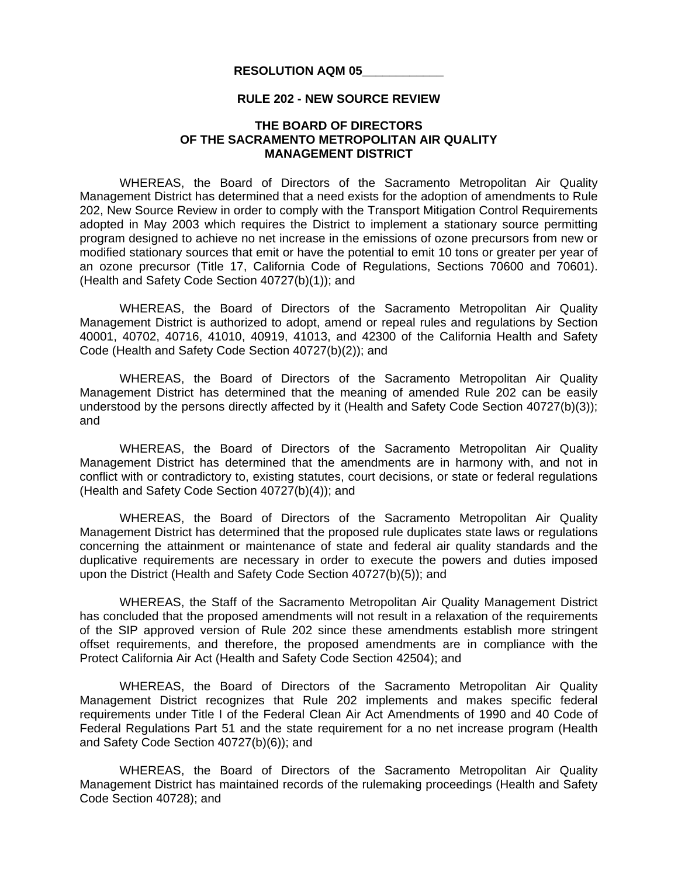## **RESOLUTION AQM 05\_\_\_\_\_\_\_\_\_\_\_\_**

## **RULE 202 - NEW SOURCE REVIEW**

## **THE BOARD OF DIRECTORS OF THE SACRAMENTO METROPOLITAN AIR QUALITY MANAGEMENT DISTRICT**

 WHEREAS, the Board of Directors of the Sacramento Metropolitan Air Quality Management District has determined that a need exists for the adoption of amendments to Rule 202, New Source Review in order to comply with the Transport Mitigation Control Requirements adopted in May 2003 which requires the District to implement a stationary source permitting program designed to achieve no net increase in the emissions of ozone precursors from new or modified stationary sources that emit or have the potential to emit 10 tons or greater per year of an ozone precursor (Title 17, California Code of Regulations, Sections 70600 and 70601). (Health and Safety Code Section 40727(b)(1)); and

 WHEREAS, the Board of Directors of the Sacramento Metropolitan Air Quality Management District is authorized to adopt, amend or repeal rules and regulations by Section 40001, 40702, 40716, 41010, 40919, 41013, and 42300 of the California Health and Safety Code (Health and Safety Code Section 40727(b)(2)); and

 WHEREAS, the Board of Directors of the Sacramento Metropolitan Air Quality Management District has determined that the meaning of amended Rule 202 can be easily understood by the persons directly affected by it (Health and Safety Code Section 40727(b)(3)); and

 WHEREAS, the Board of Directors of the Sacramento Metropolitan Air Quality Management District has determined that the amendments are in harmony with, and not in conflict with or contradictory to, existing statutes, court decisions, or state or federal regulations (Health and Safety Code Section 40727(b)(4)); and

 WHEREAS, the Board of Directors of the Sacramento Metropolitan Air Quality Management District has determined that the proposed rule duplicates state laws or regulations concerning the attainment or maintenance of state and federal air quality standards and the duplicative requirements are necessary in order to execute the powers and duties imposed upon the District (Health and Safety Code Section 40727(b)(5)); and

 WHEREAS, the Staff of the Sacramento Metropolitan Air Quality Management District has concluded that the proposed amendments will not result in a relaxation of the requirements of the SIP approved version of Rule 202 since these amendments establish more stringent offset requirements, and therefore, the proposed amendments are in compliance with the Protect California Air Act (Health and Safety Code Section 42504); and

 WHEREAS, the Board of Directors of the Sacramento Metropolitan Air Quality Management District recognizes that Rule 202 implements and makes specific federal requirements under Title I of the Federal Clean Air Act Amendments of 1990 and 40 Code of Federal Regulations Part 51 and the state requirement for a no net increase program (Health and Safety Code Section 40727(b)(6)); and

 WHEREAS, the Board of Directors of the Sacramento Metropolitan Air Quality Management District has maintained records of the rulemaking proceedings (Health and Safety Code Section 40728); and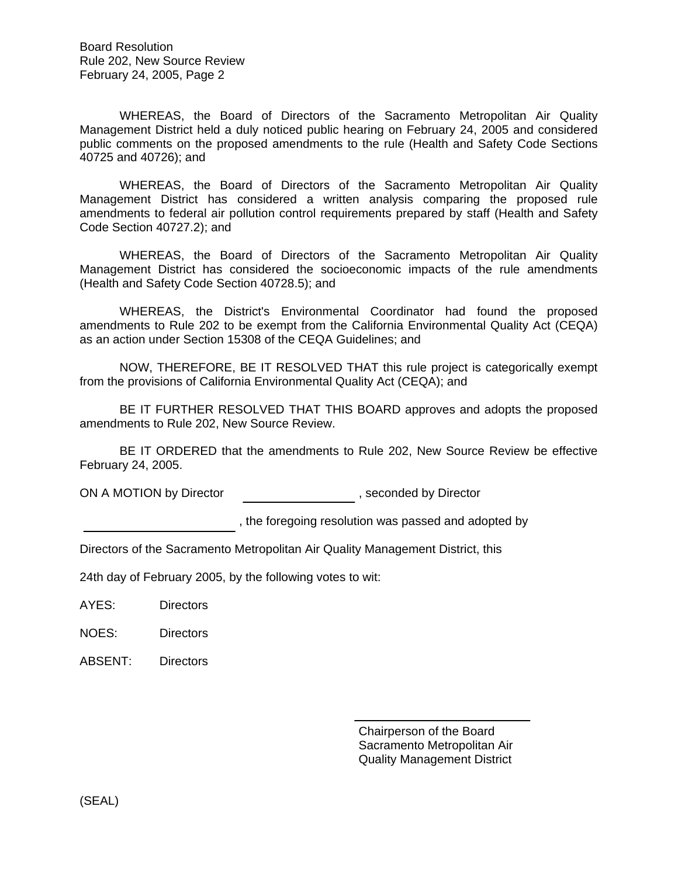Board Resolution Rule 202, New Source Review February 24, 2005, Page 2

 WHEREAS, the Board of Directors of the Sacramento Metropolitan Air Quality Management District held a duly noticed public hearing on February 24, 2005 and considered public comments on the proposed amendments to the rule (Health and Safety Code Sections 40725 and 40726); and

 WHEREAS, the Board of Directors of the Sacramento Metropolitan Air Quality Management District has considered a written analysis comparing the proposed rule amendments to federal air pollution control requirements prepared by staff (Health and Safety Code Section 40727.2); and

 WHEREAS, the Board of Directors of the Sacramento Metropolitan Air Quality Management District has considered the socioeconomic impacts of the rule amendments (Health and Safety Code Section 40728.5); and

 WHEREAS, the District's Environmental Coordinator had found the proposed amendments to Rule 202 to be exempt from the California Environmental Quality Act (CEQA) as an action under Section 15308 of the CEQA Guidelines; and

 NOW, THEREFORE, BE IT RESOLVED THAT this rule project is categorically exempt from the provisions of California Environmental Quality Act (CEQA); and

 BE IT FURTHER RESOLVED THAT THIS BOARD approves and adopts the proposed amendments to Rule 202, New Source Review.

BE IT ORDERED that the amendments to Rule 202, New Source Review be effective February 24, 2005.

ON A MOTION by Director  $\qquad \qquad \qquad$ , seconded by Director

, the foregoing resolution was passed and adopted by

Directors of the Sacramento Metropolitan Air Quality Management District, this

24th day of February 2005, by the following votes to wit:

AYES: Directors

NOES: Directors

ABSENT: Directors

 Chairperson of the Board Sacramento Metropolitan Air Quality Management District

(SEAL)